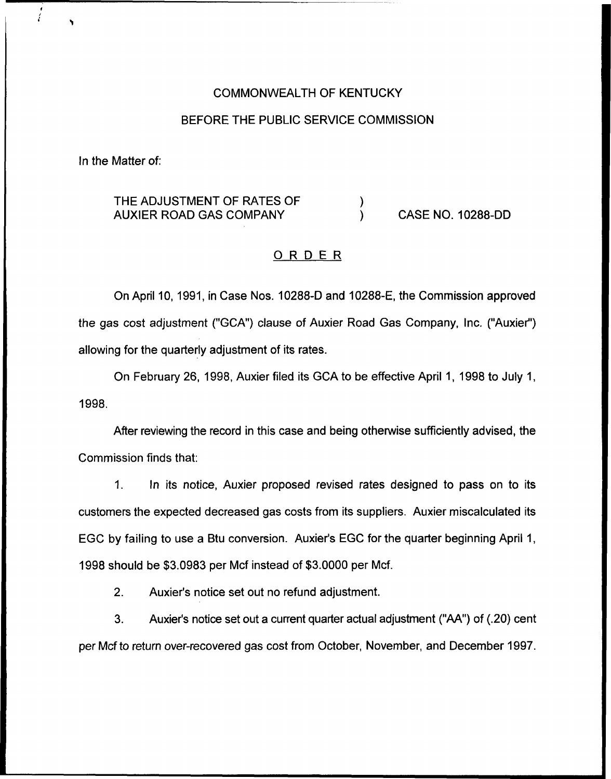#### COMMONWEALTH OF KENTUCKY

#### BEFORE THE PUBLIC SERVICE COMMISSION

In the Matter of:

#### THE ADJUSTMENT OF RATES OF  $\lambda$ AUXIER ROAD GAS COMPANY CASE NO. 10288-DD

#### ORDER

On April 10, 1991, in Case Nos. 10288-D and 10288-E, the Commission approved the gas cost adjustment ("GCA") clause of Auxier Road Gas Company, Inc. ("Auxier") allowing for the quarterly adjustment of its rates.

On February 26, 1998, Auxier filed its GCA to be effective April 1, 1998 to July 1, 1998.

After reviewing the record in this case and being otherwise sufficiently advised, the Commission finds that:

In its notice, Auxier proposed revised rates designed to pass on to its  $1<sub>1</sub>$ customers the expected decreased gas costs from its suppliers. Auxier miscalculated its EGC by failing to use a Btu conversion. Auxier's EGC for the quarter beginning April 1, 1998 should be \$3.0983 per Mcf instead of \$3.0000 per Mcf.

2. Auxier's notice set out no refund adjustment.

3. Auxier's notice set out a current quarter actual adjustment ("AA") of (.20) cent per Mcf to return over-recovered gas cost from October, November, and December 1997.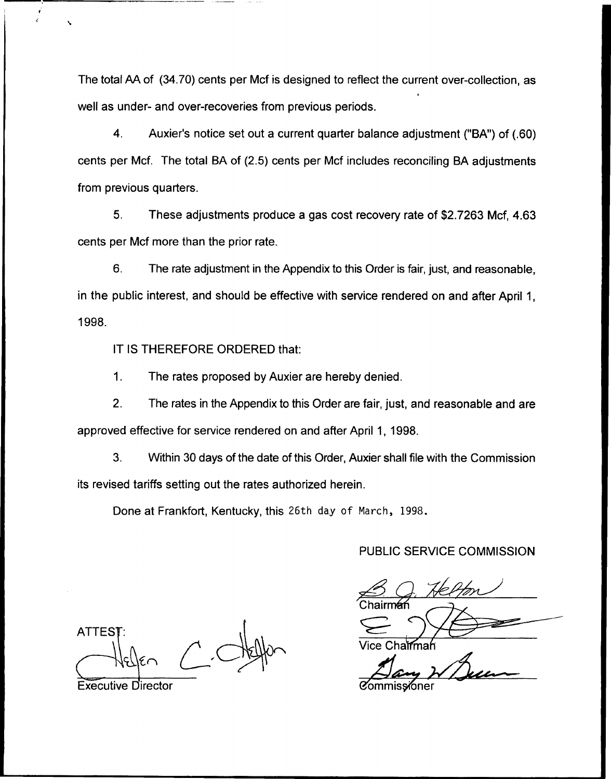The total AA of (34.70) cents per Mcf is designed to reflect the current over-collection, as I well as under- and over-recoveries from previous periods.

4. Auxier's notice set out a current quarter balance adjustment ("BA") of (.60) cents per Mcf. The total BA of (2.5) cents per Mcf includes reconciling BA adjustments from previous quarters.

5. These adjustments produce a gas cost recovery rate of \$2.7263 Mcf, 4.63 cents per Mcf more than the prior rate.

6. The rate adjustment in the Appendix to this Order is fair, just, and reasonable, in the public interest, and should be effective with service rendered on and after April 1, 1998.

IT IS THEREFORE ORDERED that:

1. The rates proposed by Auxier are hereby denied.

2. The rates in the Appendix to this Order are fair, just, and reasonable and are approved effective for service rendered on and after April 1, 1998.

3. Within 30 days of the date of this Order, Auxier shall file with the Commission its revised tariffs setting out the rates authorized herein.

Done at Frankfort, Kentucky, this 26th day of March, 1998.

#### PUBLIC SERVICE COMMISSION

 $\frac{8}{\sqrt{2}}$ Chairm<del>á</del> Vice Chairma

**ATTES** 

Executive Director 8ommissioner